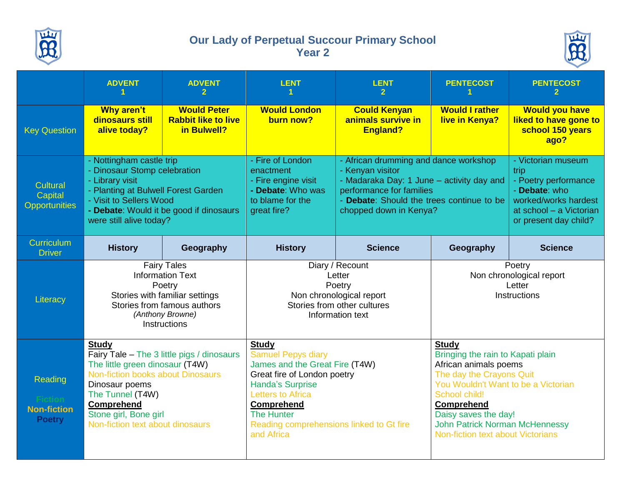

## **Our Lady of Perpetual Succour Primary School Year 2**



|                                                | <b>ADVENT</b>                                                                                                                                                                                                                                       | <b>ADVENT</b><br>$\mathbf{2}$                                   | <b>LENT</b>                                                                                                                                                                                                                                             | <b>LENT</b>                                                                                                                                                                                               | <b>PENTECOST</b>                                                                                                                                                                                                                                                                          | <b>PENTECOST</b>                                                                                                                                |
|------------------------------------------------|-----------------------------------------------------------------------------------------------------------------------------------------------------------------------------------------------------------------------------------------------------|-----------------------------------------------------------------|---------------------------------------------------------------------------------------------------------------------------------------------------------------------------------------------------------------------------------------------------------|-----------------------------------------------------------------------------------------------------------------------------------------------------------------------------------------------------------|-------------------------------------------------------------------------------------------------------------------------------------------------------------------------------------------------------------------------------------------------------------------------------------------|-------------------------------------------------------------------------------------------------------------------------------------------------|
| <b>Key Question</b>                            | <b>Why aren't</b><br>dinosaurs still<br>alive today?                                                                                                                                                                                                | <b>Would Peter</b><br><b>Rabbit like to live</b><br>in Bulwell? | <b>Would London</b><br>burn now?                                                                                                                                                                                                                        | <b>Could Kenyan</b><br>animals survive in<br><b>England?</b>                                                                                                                                              | <b>Would I rather</b><br>live in Kenya?                                                                                                                                                                                                                                                   | <b>Would you have</b><br>liked to have gone to<br>school 150 years<br>ago?                                                                      |
| Cultural<br>Capital<br><b>Opportunities</b>    | - Nottingham castle trip<br>- Dinosaur Stomp celebration<br>- Library visit<br>- Planting at Bulwell Forest Garden<br>- Visit to Sellers Wood<br>- Debate: Would it be good if dinosaurs<br>were still alive today?                                 |                                                                 | - Fire of London<br>enactment<br>- Fire engine visit<br>- Debate: Who was<br>to blame for the<br>great fire?                                                                                                                                            | - African drumming and dance workshop<br>- Kenyan visitor<br>- Madaraka Day: 1 June - activity day and<br>performance for families<br>- Debate: Should the trees continue to be<br>chopped down in Kenya? |                                                                                                                                                                                                                                                                                           | - Victorian museum<br>trip<br>- Poetry performance<br>- Debate: who<br>worked/works hardest<br>at school - a Victorian<br>or present day child? |
| Curriculum<br><b>Driver</b>                    | <b>History</b>                                                                                                                                                                                                                                      | Geography                                                       | <b>History</b>                                                                                                                                                                                                                                          | <b>Science</b>                                                                                                                                                                                            | Geography                                                                                                                                                                                                                                                                                 | <b>Science</b>                                                                                                                                  |
| Literacy                                       | <b>Fairy Tales</b><br><b>Information Text</b><br>Poetry<br>Stories with familiar settings<br>Stories from famous authors<br>(Anthony Browne)<br>Instructions                                                                                        |                                                                 | Diary / Recount<br>Letter<br>Poetry<br>Non chronological report<br>Stories from other cultures<br>Information text                                                                                                                                      |                                                                                                                                                                                                           | Poetry<br>Non chronological report<br>Letter<br><b>Instructions</b>                                                                                                                                                                                                                       |                                                                                                                                                 |
| Reading<br><b>Non-fiction</b><br><b>Poetry</b> | <b>Study</b><br>Fairy Tale - The 3 little pigs / dinosaurs<br>The little green dinosaur (T4W)<br>Non-fiction books about Dinosaurs<br>Dinosaur poems<br>The Tunnel (T4W)<br>Comprehend<br>Stone girl, Bone girl<br>Non-fiction text about dinosaurs |                                                                 | <b>Study</b><br>Samuel Pepys diary<br>James and the Great Fire (T4W)<br>Great fire of London poetry<br><b>Handa's Surprise</b><br><b>Letters to Africa</b><br><b>Comprehend</b><br>The Hunter<br>Reading comprehensions linked to Gt fire<br>and Africa |                                                                                                                                                                                                           | <b>Study</b><br>Bringing the rain to Kapati plain<br>African animals poems<br>The day the Crayons Quit<br>You Wouldn't Want to be a Victorian<br>School child!<br><b>Comprehend</b><br>Daisy saves the day!<br><b>John Patrick Norman McHennessy</b><br>Non-fiction text about Victorians |                                                                                                                                                 |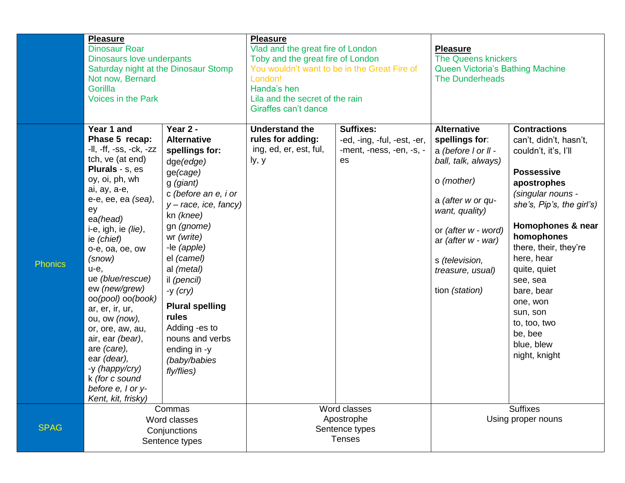|                | <b>Pleasure</b><br><b>Dinosaur Roar</b><br>Dinosaurs love underpants<br>Saturday night at the Dinosaur Stomp<br>Not now, Bernard<br>Gorillla<br><b>Voices in the Park</b>                                                                                                                                                                                                                                                                                                                                       |                                                                                                                                                                                                                                                                                                                                                                                  | <b>Pleasure</b><br>Vlad and the great fire of London<br>Toby and the great fire of London<br>You wouldn't want to be in the Great Fire of<br>London!<br>Handa's hen<br>Lila and the secret of the rain<br>Giraffes can't dance |                                                                                   | <b>Pleasure</b><br><b>The Queens knickers</b><br>Queen Victoria's Bathing Machine<br><b>The Dunderheads</b>                                                                                                                                  |                                                                                                                                                                                                                                                                                                                                                                   |
|----------------|-----------------------------------------------------------------------------------------------------------------------------------------------------------------------------------------------------------------------------------------------------------------------------------------------------------------------------------------------------------------------------------------------------------------------------------------------------------------------------------------------------------------|----------------------------------------------------------------------------------------------------------------------------------------------------------------------------------------------------------------------------------------------------------------------------------------------------------------------------------------------------------------------------------|--------------------------------------------------------------------------------------------------------------------------------------------------------------------------------------------------------------------------------|-----------------------------------------------------------------------------------|----------------------------------------------------------------------------------------------------------------------------------------------------------------------------------------------------------------------------------------------|-------------------------------------------------------------------------------------------------------------------------------------------------------------------------------------------------------------------------------------------------------------------------------------------------------------------------------------------------------------------|
| <b>Phonics</b> | Year 1 and<br>Phase 5 recap:<br>-II, -ff, -ss, -ck, -zz<br>tch, ve (at end)<br><b>Plurals - s, es</b><br>oy, oi, ph, wh<br>ai, ay, a-e,<br>e-e, ee, ea (sea),<br>ey<br>ea(head)<br>i-e, igh, ie $(lie)$ ,<br>ie (chief)<br>o-e, oa, oe, ow<br>(snow)<br>u-e,<br>ue (blue/rescue)<br>ew (new/grew)<br>oo(pool) oo(book)<br>ar, er, ir, ur,<br>ou, ow (now),<br>or, ore, aw, au,<br>air, ear (bear),<br>are (care),<br>ear (dear),<br>-y (happy/cry)<br>k (for c sound<br>before e, I or y-<br>Kent, kit, frisky) | Year 2 -<br><b>Alternative</b><br>spellings for:<br>dge(edge)<br>ge(cage)<br>g (giant)<br>c (before an e, i or<br>$y - race$ , ice, fancy)<br>kn (knee)<br>gn (gnome)<br>wr (write)<br>-le (apple)<br>el (camel)<br>al (metal)<br>il (pencil)<br>-y $(cry)$<br><b>Plural spelling</b><br>rules<br>Adding -es to<br>nouns and verbs<br>ending in -y<br>(baby/babies<br>fly/flies) | <b>Understand the</b><br>rules for adding:<br>ing, ed, er, est, ful,<br>ly, y                                                                                                                                                  | <b>Suffixes:</b><br>-ed, -ing, -ful, -est, -er,<br>-ment, -ness, -en, -s, -<br>es | <b>Alternative</b><br>spellings for:<br>a (before I or II -<br>ball, talk, always)<br>o (mother)<br>a (after w or qu-<br>want, quality)<br>or (after w - word)<br>ar (after w - war)<br>s (television,<br>treasure, usual)<br>tion (station) | <b>Contractions</b><br>can't, didn't, hasn't,<br>couldn't, it's, I'll<br><b>Possessive</b><br>apostrophes<br>(singular nouns -<br>she's, Pip's, the girl's)<br>Homophones & near<br>homophones<br>there, their, they're<br>here, hear<br>quite, quiet<br>see, sea<br>bare, bear<br>one, won<br>sun, son<br>to, too, two<br>be, bee<br>blue, blew<br>night, knight |
| <b>SPAG</b>    | Commas<br>Word classes<br>Conjunctions<br>Sentence types                                                                                                                                                                                                                                                                                                                                                                                                                                                        |                                                                                                                                                                                                                                                                                                                                                                                  | Word classes<br>Apostrophe<br>Sentence types<br><b>Tenses</b>                                                                                                                                                                  |                                                                                   | <b>Suffixes</b><br>Using proper nouns                                                                                                                                                                                                        |                                                                                                                                                                                                                                                                                                                                                                   |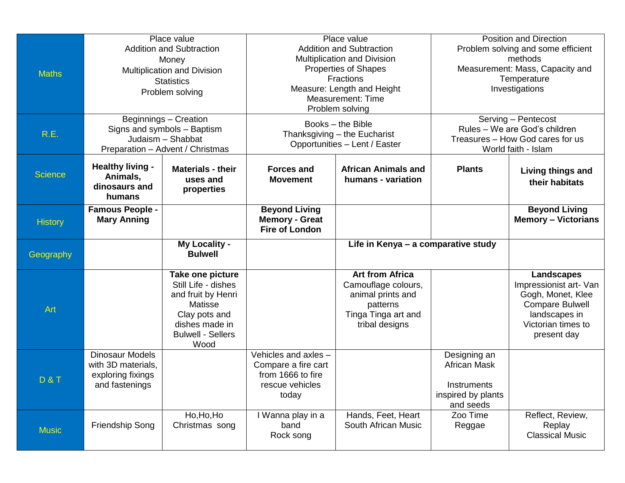| <b>Maths</b><br>R.E. | Place value<br><b>Addition and Subtraction</b><br>Money<br>Multiplication and Division<br><b>Statistics</b><br>Problem solving<br>Beginnings - Creation<br>Signs and symbols - Baptism |                                                                                                                                                 | Place value<br><b>Addition and Subtraction</b><br>Multiplication and Division<br><b>Properties of Shapes</b><br><b>Fractions</b><br>Measure: Length and Height<br><b>Measurement: Time</b><br>Problem solving<br>Books - the Bible<br>Thanksgiving - the Eucharist |                                                                                                                         | <b>Position and Direction</b><br>Problem solving and some efficient<br>methods<br>Measurement: Mass, Capacity and<br>Temperature<br>Investigations<br>Serving - Pentecost<br>Rules - We are God's children |                                                                                                                                           |
|----------------------|----------------------------------------------------------------------------------------------------------------------------------------------------------------------------------------|-------------------------------------------------------------------------------------------------------------------------------------------------|--------------------------------------------------------------------------------------------------------------------------------------------------------------------------------------------------------------------------------------------------------------------|-------------------------------------------------------------------------------------------------------------------------|------------------------------------------------------------------------------------------------------------------------------------------------------------------------------------------------------------|-------------------------------------------------------------------------------------------------------------------------------------------|
|                      | Judaism - Shabbat<br>Preparation - Advent / Christmas                                                                                                                                  |                                                                                                                                                 | Opportunities - Lent / Easter                                                                                                                                                                                                                                      |                                                                                                                         | Treasures - How God cares for us<br>World faith - Islam                                                                                                                                                    |                                                                                                                                           |
| <b>Science</b>       | <b>Healthy living -</b><br>Animals,<br>dinosaurs and<br>humans                                                                                                                         | <b>Materials - their</b><br>uses and<br>properties                                                                                              | <b>Forces and</b><br><b>Movement</b>                                                                                                                                                                                                                               | <b>African Animals and</b><br>humans - variation                                                                        | <b>Plants</b>                                                                                                                                                                                              | <b>Living things and</b><br>their habitats                                                                                                |
| <b>History</b>       | <b>Famous People -</b><br><b>Mary Anning</b>                                                                                                                                           |                                                                                                                                                 | <b>Beyond Living</b><br><b>Memory - Great</b><br><b>Fire of London</b>                                                                                                                                                                                             |                                                                                                                         |                                                                                                                                                                                                            | <b>Beyond Living</b><br><b>Memory - Victorians</b>                                                                                        |
| Geography            |                                                                                                                                                                                        | <b>My Locality -</b><br><b>Bulwell</b>                                                                                                          |                                                                                                                                                                                                                                                                    | Life in Kenya - a comparative study                                                                                     |                                                                                                                                                                                                            |                                                                                                                                           |
| Art                  |                                                                                                                                                                                        | Take one picture<br>Still Life - dishes<br>and fruit by Henri<br>Matisse<br>Clay pots and<br>dishes made in<br><b>Bulwell - Sellers</b><br>Wood |                                                                                                                                                                                                                                                                    | <b>Art from Africa</b><br>Camouflage colours,<br>animal prints and<br>patterns<br>Tinga Tinga art and<br>tribal designs |                                                                                                                                                                                                            | Landscapes<br>Impressionist art- Van<br>Gogh, Monet, Klee<br><b>Compare Bulwell</b><br>landscapes in<br>Victorian times to<br>present day |
| <b>D&amp;T</b>       | <b>Dinosaur Models</b><br>with 3D materials,<br>exploring fixings<br>and fastenings                                                                                                    |                                                                                                                                                 | Vehicles and axles -<br>Compare a fire cart<br>from 1666 to fire<br>rescue vehicles<br>today                                                                                                                                                                       |                                                                                                                         | Designing an<br><b>African Mask</b><br>Instruments<br>inspired by plants<br>and seeds                                                                                                                      |                                                                                                                                           |
| <b>Music</b>         | Friendship Song                                                                                                                                                                        | Ho, Ho, Ho<br>Christmas song                                                                                                                    | I Wanna play in a<br>band<br>Rock song                                                                                                                                                                                                                             | Hands, Feet, Heart<br>South African Music                                                                               | Zoo Time<br>Reggae                                                                                                                                                                                         | Reflect, Review,<br>Replay<br><b>Classical Music</b>                                                                                      |